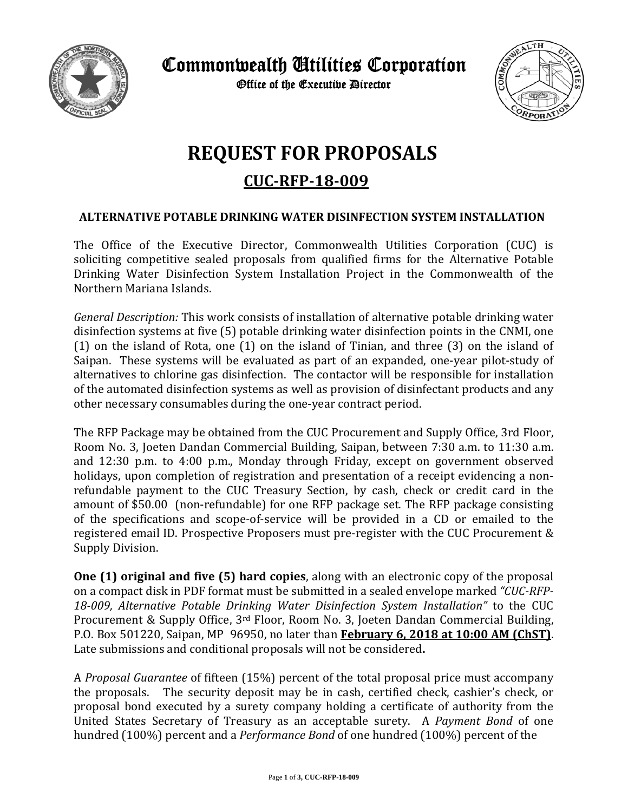

Commonwealth Utilities Corporation

Office of the Executive Director



## **REQUEST FOR PROPOSALS**

**CUC·RFP-18-009** 

## **ALTERNATIVE POTABLE DRINKING WATER DISINFECTION SYSTEM INSTALLATION**

The Office of the Executive Director, Commonwealth Utilities Corporation (CUC) is soliciting competitive sealed proposals from qualified firms for the Alternative Potable Drinking Water Disinfection System Installation Project in the Commonwealth of the Northern Mariana Islands.

*General Description:* This work consists of installation of alternative potable drinking water disinfection systems at five (5) potable drinking water disinfection points in the CNMI, one  $(1)$  on the island of Rota, one  $(1)$  on the island of Tinian, and three  $(3)$  on the island of Saipan. These systems will be evaluated as part of an expanded, one-year pilot-study of alternatives to chlorine gas disinfection. The contactor will be responsible for installation of the automated disinfection systems as well as provision of disinfectant products and any other necessary consumables during the one-year contract period.

The RFP Package may be obtained from the CUC Procurement and Supply Office, 3rd Floor, Room No. 3, Joeten Dandan Commercial Building, Saipan, between 7:30 a.m. to 11:30 a.m. and 12:30 p.m. to 4:00 p.m., Monday through Friday, except on government observed holidays, upon completion of registration and presentation of a receipt evidencing a nonrefundable payment to the CUC Treasury Section, by cash, check or credit card in the amount of \$50.00 (non-refundable) for one RFP package set. The RFP package consisting of the specifications and scope-of-service will be provided in a CD or emailed to the registered email ID. Prospective Proposers must pre-register with the CUC Procurement & Supply Division.

**One** (1) **original and five** (5) **hard copies**, along with an electronic copy of the proposal on a compact disk in PDF format must be submitted in a sealed envelope marked "CUC-RFP-*18‐009, Alternative Potable Drinking Water Disinfection System Installation"* to the CUC Procurement & Supply Office,  $3^{rd}$  Floor, Room No. 3, Joeten Dandan Commercial Building, P.O. Box 501220, Saipan, MP 96950, no later than **February 6, 2018 at 10:00 AM (ChST)**. Late submissions and conditional proposals will not be considered.

A *Proposal Guarantee* of fifteen (15%) percent of the total proposal price must accompany the proposals. The security deposit may be in cash, certified check, cashier's check, or proposal bond executed by a surety company holding a certificate of authority from the United States Secretary of Treasury as an acceptable surety. A *Payment Bond* of one hundred (100%) percent and a *Performance Bond* of one hundred (100%) percent of the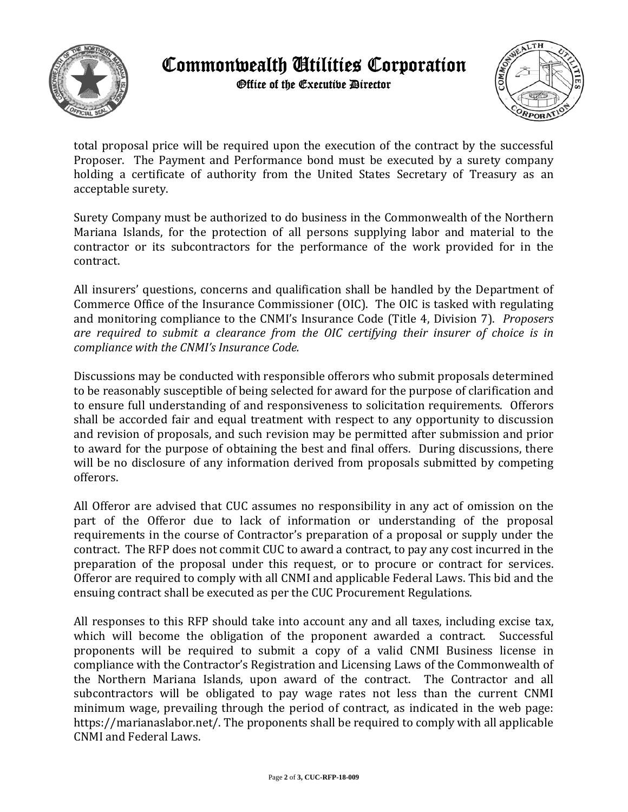

## Commonwealth Utilities Corporation

Office of the Executive Director



total proposal price will be required upon the execution of the contract by the successful Proposer. The Payment and Performance bond must be executed by a surety company holding a certificate of authority from the United States Secretary of Treasury as an acceptable surety.

Surety Company must be authorized to do business in the Commonwealth of the Northern Mariana Islands, for the protection of all persons supplying labor and material to the contractor or its subcontractors for the performance of the work provided for in the contract.

All insurers' questions, concerns and qualification shall be handled by the Department of Commerce Office of the Insurance Commissioner (OIC). The OIC is tasked with regulating and monitoring compliance to the CNMI's Insurance Code (Title 4, Division 7). *Proposers are required to submit a clearance from the OIC certifying their insurer of choice is in compliance with the CNMI's Insurance Code.*

Discussions may be conducted with responsible offerors who submit proposals determined to be reasonably susceptible of being selected for award for the purpose of clarification and to ensure full understanding of and responsiveness to solicitation requirements. Offerors shall be accorded fair and equal treatment with respect to any opportunity to discussion and revision of proposals, and such revision may be permitted after submission and prior to award for the purpose of obtaining the best and final offers. During discussions, there will be no disclosure of any information derived from proposals submitted by competing offerors. 

All Offeror are advised that CUC assumes no responsibility in any act of omission on the part of the Offeror due to lack of information or understanding of the proposal requirements in the course of Contractor's preparation of a proposal or supply under the contract. The RFP does not commit CUC to award a contract, to pay any cost incurred in the preparation of the proposal under this request, or to procure or contract for services. Offeror are required to comply with all CNMI and applicable Federal Laws. This bid and the ensuing contract shall be executed as per the CUC Procurement Regulations.

All responses to this RFP should take into account any and all taxes, including excise tax, which will become the obligation of the proponent awarded a contract. Successful proponents will be required to submit a copy of a valid CNMI Business license in compliance with the Contractor's Registration and Licensing Laws of the Commonwealth of the Northern Mariana Islands, upon award of the contract. The Contractor and all subcontractors will be obligated to pay wage rates not less than the current CNMI minimum wage, prevailing through the period of contract, as indicated in the web page: https://marianaslabor.net/. The proponents shall be required to comply with all applicable CNMI and Federal Laws.